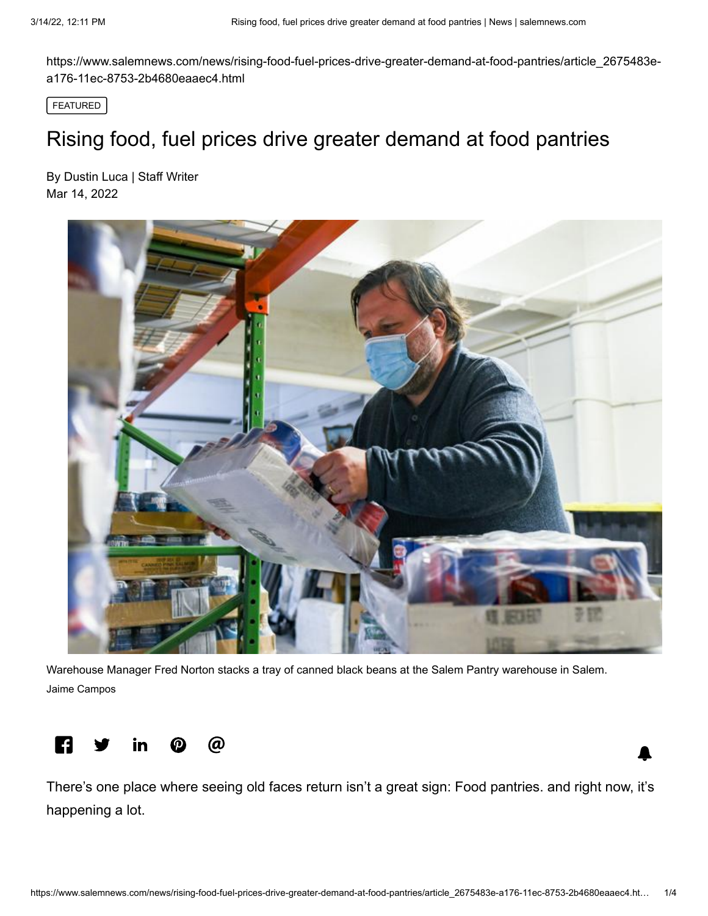https://www.salemnews.com/news/rising-food-fuel-prices-drive-greater-demand-at-food-pantries/article\_2675483ea176-11ec-8753-2b4680eaaec4.html

FEATURED

## Rising food, fuel prices drive greater demand at food pantries

[By Dustin Luca | Staff Writer](https://www.salemnews.com/users/profile/Dustin%20Luca) Mar 14, 2022



Warehouse Manager Fred Norton stacks a tray of canned black beans at the Salem Pantry warehouse in Salem. Jaime Campos



There's one place where seeing old faces return isn't a great sign: Food pantries. and right now, it's happening a lot.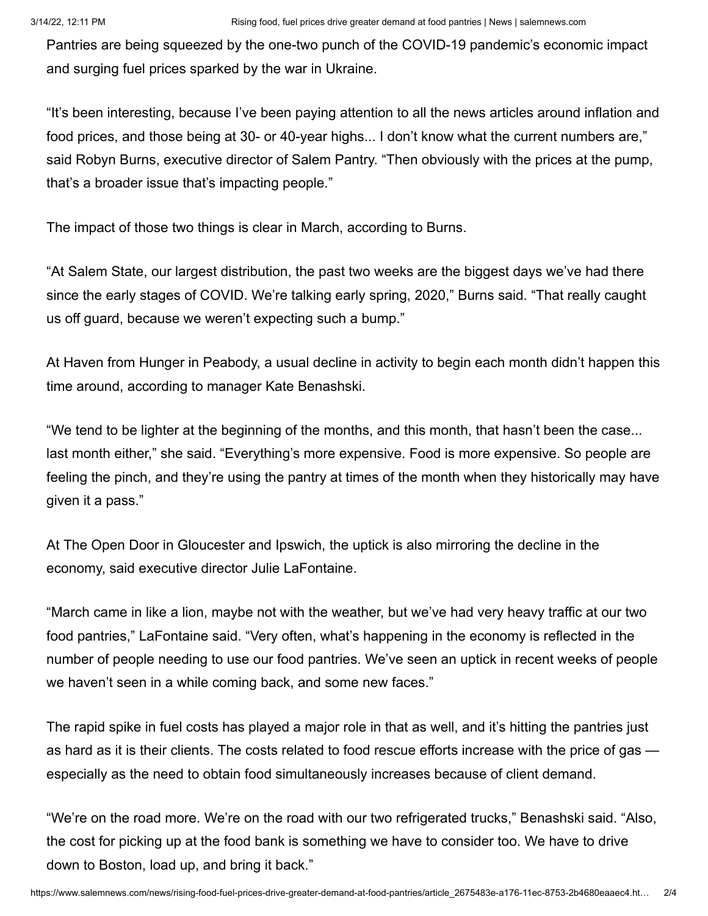Pantries are being squeezed by the one-two punch of the COVID-19 pandemic's economic impact and surging fuel prices sparked by the war in Ukraine.

"It's been interesting, because I've been paying attention to all the news articles around inflation and food prices, and those being at 30- or 40-year highs... I don't know what the current numbers are," said Robyn Burns, executive director of Salem Pantry. "Then obviously with the prices at the pump, that's a broader issue that's impacting people."

The impact of those two things is clear in March, according to Burns.

"At Salem State, our largest distribution, the past two weeks are the biggest days we've had there since the early stages of COVID. We're talking early spring, 2020," Burns said. "That really caught us off guard, because we weren't expecting such a bump."

At Haven from Hunger in Peabody, a usual decline in activity to begin each month didn't happen this time around, according to manager Kate Benashski.

"We tend to be lighter at the beginning of the months, and this month, that hasn't been the case... last month either," she said. "Everything's more expensive. Food is more expensive. So people are feeling the pinch, and they're using the pantry at times of the month when they historically may have given it a pass."

At The Open Door in Gloucester and Ipswich, the uptick is also mirroring the decline in the economy, said executive director Julie LaFontaine.

"March came in like a lion, maybe not with the weather, but we've had very heavy traffic at our two food pantries," LaFontaine said. "Very often, what's happening in the economy is reflected in the number of people needing to use our food pantries. We've seen an uptick in recent weeks of people we haven't seen in a while coming back, and some new faces."

The rapid spike in fuel costs has played a major role in that as well, and it's hitting the pantries just as hard as it is their clients. The costs related to food rescue efforts increase with the price of gas especially as the need to obtain food simultaneously increases because of client demand.

"We're on the road more. We're on the road with our two refrigerated trucks," Benashski said. "Also, the cost for picking up at the food bank is something we have to consider too. We have to drive down to Boston, load up, and bring it back."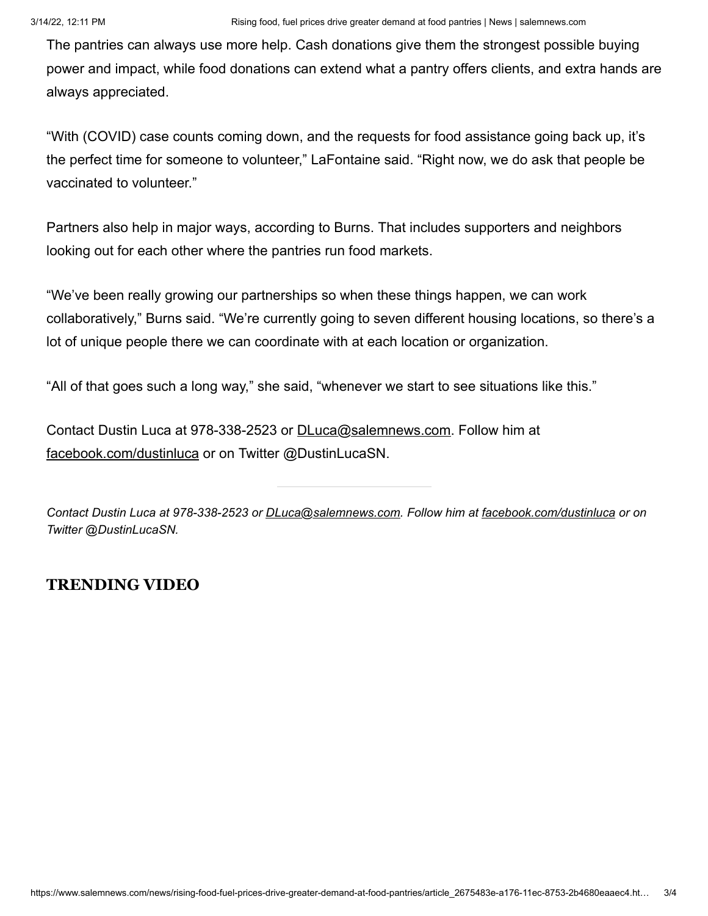The pantries can always use more help. Cash donations give them the strongest possible buying power and impact, while food donations can extend what a pantry offers clients, and extra hands are always appreciated.

"With (COVID) case counts coming down, and the requests for food assistance going back up, it's the perfect time for someone to volunteer," LaFontaine said. "Right now, we do ask that people be vaccinated to volunteer."

Partners also help in major ways, according to Burns. That includes supporters and neighbors looking out for each other where the pantries run food markets.

"We've been really growing our partnerships so when these things happen, we can work collaboratively," Burns said. "We're currently going to seven different housing locations, so there's a lot of unique people there we can coordinate with at each location or organization.

"All of that goes such a long way," she said, "whenever we start to see situations like this."

Contact Dustin Luca at 978-338-2523 or [DLuca@salemnews.com.](mailto:DLuca@salemnews.com) Follow him at [facebook.com/dustinluca](http://facebook.com/dustinluca) or on Twitter @DustinLucaSN.

*Contact Dustin Luca at 978-338-2523 or [DLuca@salemnews.com](mailto:DLuca@salemnews.com). Follow him at [facebook.com/dustinluca](http://facebook.com/dustinluca) or on Twitter @DustinLucaSN.*

## **TRENDING VIDEO**